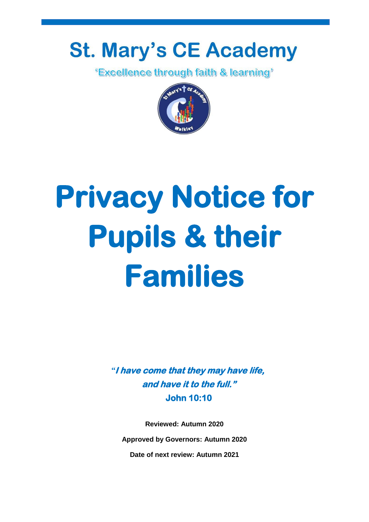# **St. Mary's CE Academy**

*'Excellence through faith & learning'* 



# **Privacy Notice for Pupils & their Families**

*"***I have come that they may have life, and have it to the full." John 10:10** 

**Reviewed: Autumn 2020 Approved by Governors: Autumn 2020 Date of next review: Autumn 2021**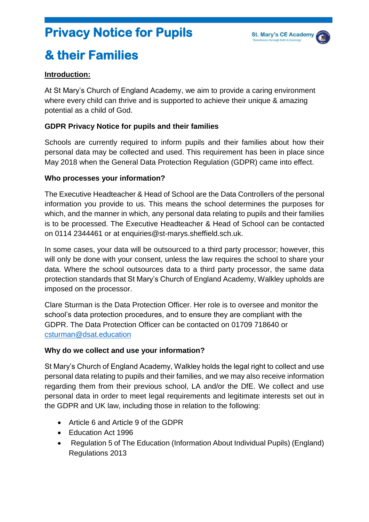## **Privacy Notice for Pupils**



## **& their Families**

#### **Introduction:**

At St Mary's Church of England Academy, we aim to provide a caring environment where every child can thrive and is supported to achieve their unique & amazing potential as a child of God.

#### **GDPR Privacy Notice for pupils and their families**

Schools are currently required to inform pupils and their families about how their personal data may be collected and used. This requirement has been in place since May 2018 when the General Data Protection Regulation (GDPR) came into effect.

#### **Who processes your information?**

The Executive Headteacher & Head of School are the Data Controllers of the personal information you provide to us. This means the school determines the purposes for which, and the manner in which, any personal data relating to pupils and their families is to be processed. The Executive Headteacher & Head of School can be contacted on 0114 2344461 or at enquiries@st-marys.sheffield.sch.uk.

In some cases, your data will be outsourced to a third party processor; however, this will only be done with your consent, unless the law requires the school to share your data. Where the school outsources data to a third party processor, the same data protection standards that St Mary's Church of England Academy, Walkley upholds are imposed on the processor.

Clare Sturman is the Data Protection Officer. Her role is to oversee and monitor the school's data protection procedures, and to ensure they are compliant with the GDPR. The Data Protection Officer can be contacted on 01709 718640 or csturman@dsat.education

#### **Why do we collect and use your information?**

St Mary's Church of England Academy, Walkley holds the legal right to collect and use personal data relating to pupils and their families, and we may also receive information regarding them from their previous school, LA and/or the DfE. We collect and use personal data in order to meet legal requirements and legitimate interests set out in the GDPR and UK law, including those in relation to the following:

- Article 6 and Article 9 of the GDPR
- Education Act 1996
- Regulation 5 of The Education (Information About Individual Pupils) (England) Regulations 2013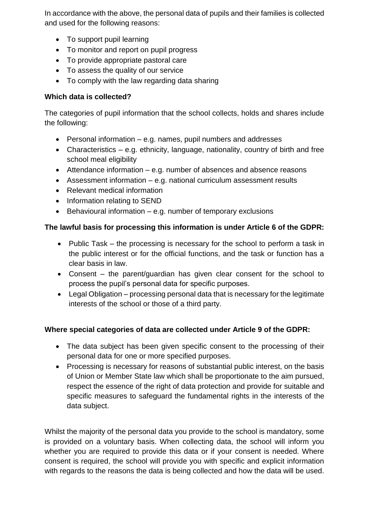In accordance with the above, the personal data of pupils and their families is collected and used for the following reasons:

- To support pupil learning
- To monitor and report on pupil progress
- To provide appropriate pastoral care
- To assess the quality of our service
- To comply with the law regarding data sharing

#### **Which data is collected?**

The categories of pupil information that the school collects, holds and shares include the following:

- Personal information e.g. names, pupil numbers and addresses
- Characteristics e.g. ethnicity, language, nationality, country of birth and free school meal eligibility
- Attendance information e.g. number of absences and absence reasons
- Assessment information e.g. national curriculum assessment results
- Relevant medical information
- Information relating to SEND
- $\bullet$  Behavioural information e.g. number of temporary exclusions

#### **The lawful basis for processing this information is under Article 6 of the GDPR:**

- Public Task the processing is necessary for the school to perform a task in the public interest or for the official functions, and the task or function has a clear basis in law.
- Consent the parent/guardian has given clear consent for the school to process the pupil's personal data for specific purposes.
- Legal Obligation processing personal data that is necessary for the legitimate interests of the school or those of a third party.

#### **Where special categories of data are collected under Article 9 of the GDPR:**

- The data subject has been given specific consent to the processing of their personal data for one or more specified purposes.
- Processing is necessary for reasons of substantial public interest, on the basis of Union or Member State law which shall be proportionate to the aim pursued, respect the essence of the right of data protection and provide for suitable and specific measures to safeguard the fundamental rights in the interests of the data subject.

Whilst the majority of the personal data you provide to the school is mandatory, some is provided on a voluntary basis. When collecting data, the school will inform you whether you are required to provide this data or if your consent is needed. Where consent is required, the school will provide you with specific and explicit information with regards to the reasons the data is being collected and how the data will be used.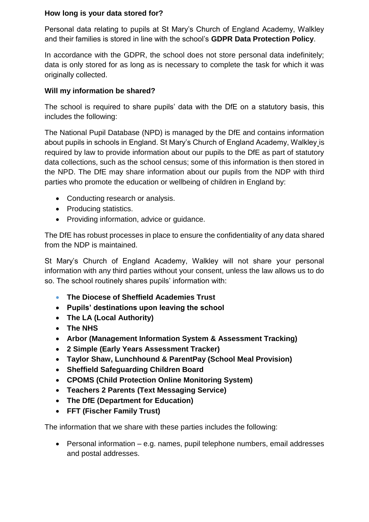#### **How long is your data stored for?**

Personal data relating to pupils at St Mary's Church of England Academy, Walkley and their families is stored in line with the school's **GDPR Data Protection Policy**.

In accordance with the GDPR, the school does not store personal data indefinitely; data is only stored for as long as is necessary to complete the task for which it was originally collected.

#### **Will my information be shared?**

The school is required to share pupils' data with the DfE on a statutory basis, this includes the following:

The National Pupil Database (NPD) is managed by the DfE and contains information about pupils in schools in England. St Mary's Church of England Academy, Walkley is required by law to provide information about our pupils to the DfE as part of statutory data collections, such as the school census; some of this information is then stored in the NPD. The DfE may share information about our pupils from the NDP with third parties who promote the education or wellbeing of children in England by:

- Conducting research or analysis.
- Producing statistics.
- Providing information, advice or quidance.

The DfE has robust processes in place to ensure the confidentiality of any data shared from the NDP is maintained.

St Mary's Church of England Academy, Walkley will not share your personal information with any third parties without your consent, unless the law allows us to do so. The school routinely shares pupils' information with:

- **The Diocese of Sheffield Academies Trust**
- **Pupils' destinations upon leaving the school**
- **The LA (Local Authority)**
- **The NHS**
- **Arbor (Management Information System & Assessment Tracking)**
- **2 Simple (Early Years Assessment Tracker)**
- **Taylor Shaw, Lunchhound & ParentPay (School Meal Provision)**
- **Sheffield Safeguarding Children Board**
- **CPOMS (Child Protection Online Monitoring System)**
- **Teachers 2 Parents (Text Messaging Service)**
- **The DfE (Department for Education)**
- **FFT (Fischer Family Trust)**

The information that we share with these parties includes the following:

 Personal information – e.g. names, pupil telephone numbers, email addresses and postal addresses.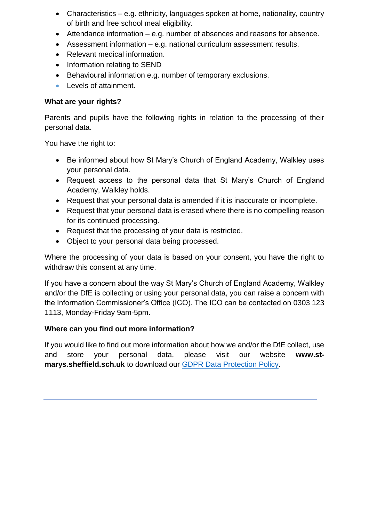- Characteristics e.g. ethnicity, languages spoken at home, nationality, country of birth and free school meal eligibility.
- Attendance information e.g. number of absences and reasons for absence.
- Assessment information e.g. national curriculum assessment results.
- Relevant medical information.
- Information relating to SEND
- Behavioural information e.g. number of temporary exclusions.
- **Levels of attainment.**

#### **What are your rights?**

Parents and pupils have the following rights in relation to the processing of their personal data.

You have the right to:

- Be informed about how St Mary's Church of England Academy, Walkley uses your personal data.
- Request access to the personal data that St Mary's Church of England Academy, Walkley holds.
- Request that your personal data is amended if it is inaccurate or incomplete.
- Request that your personal data is erased where there is no compelling reason for its continued processing.
- Request that the processing of your data is restricted.
- Object to your personal data being processed.

Where the processing of your data is based on your consent, you have the right to withdraw this consent at any time.

If you have a concern about the way St Mary's Church of England Academy, Walkley and/or the DfE is collecting or using your personal data, you can raise a concern with the Information Commissioner's Office (ICO). The ICO can be contacted on 0303 123 1113, Monday-Friday 9am-5pm.

#### **Where can you find out more information?**

If you would like to find out more information about how we and/or the DfE collect, use and store your personal data, please visit our website **www.stmarys.sheffield.sch.uk** to download our GDPR Data Protection Policy.